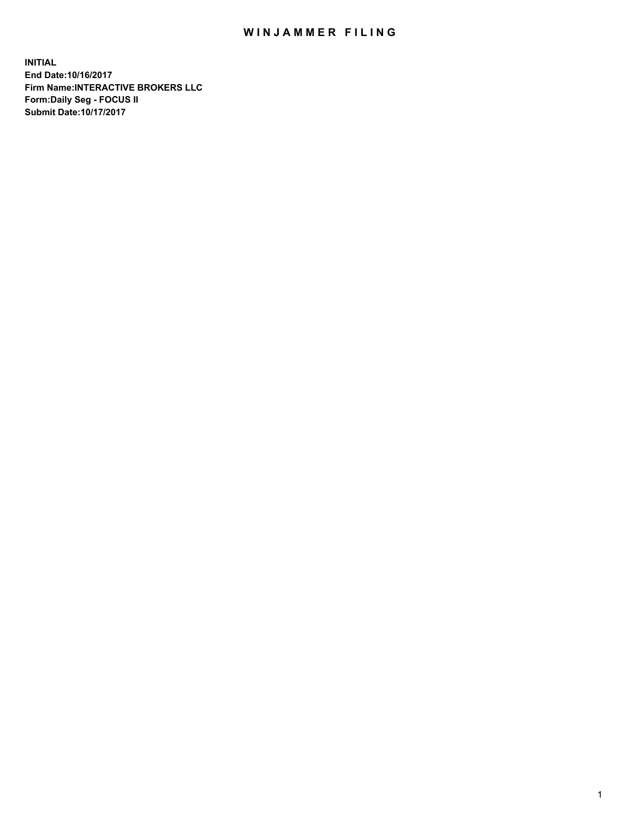## WIN JAMMER FILING

**INITIAL End Date:10/16/2017 Firm Name:INTERACTIVE BROKERS LLC Form:Daily Seg - FOCUS II Submit Date:10/17/2017**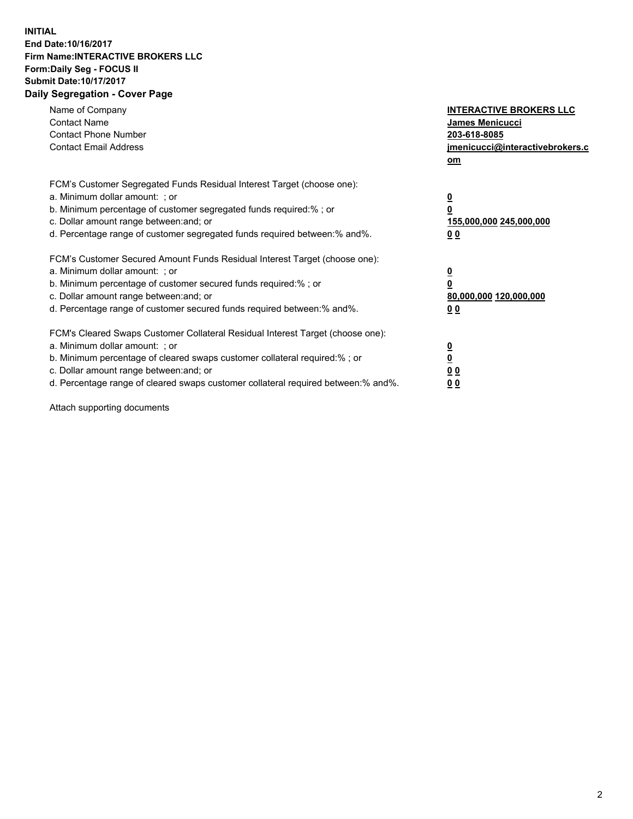## **INITIAL End Date:10/16/2017 Firm Name:INTERACTIVE BROKERS LLC Form:Daily Seg - FOCUS II Submit Date:10/17/2017 Daily Segregation - Cover Page**

| Name of Company<br><b>Contact Name</b><br><b>Contact Phone Number</b><br><b>Contact Email Address</b>                                                                                                                                                                                                                          | <b>INTERACTIVE BROKERS LLC</b><br><b>James Menicucci</b><br>203-618-8085<br>jmenicucci@interactivebrokers.c<br>om |
|--------------------------------------------------------------------------------------------------------------------------------------------------------------------------------------------------------------------------------------------------------------------------------------------------------------------------------|-------------------------------------------------------------------------------------------------------------------|
| FCM's Customer Segregated Funds Residual Interest Target (choose one):<br>a. Minimum dollar amount: ; or<br>b. Minimum percentage of customer segregated funds required:%; or<br>c. Dollar amount range between: and; or<br>d. Percentage range of customer segregated funds required between:% and%.                          | $\overline{\mathbf{0}}$<br>0<br>155,000,000 245,000,000<br>0 <sub>0</sub>                                         |
| FCM's Customer Secured Amount Funds Residual Interest Target (choose one):<br>a. Minimum dollar amount: ; or<br>b. Minimum percentage of customer secured funds required:%; or<br>c. Dollar amount range between: and; or<br>d. Percentage range of customer secured funds required between: % and %.                          | $\overline{\mathbf{0}}$<br>0<br>80,000,000 120,000,000<br>0 <sub>0</sub>                                          |
| FCM's Cleared Swaps Customer Collateral Residual Interest Target (choose one):<br>a. Minimum dollar amount: ; or<br>b. Minimum percentage of cleared swaps customer collateral required:% ; or<br>c. Dollar amount range between: and; or<br>d. Percentage range of cleared swaps customer collateral required between:% and%. | $\overline{\mathbf{0}}$<br>$\overline{\mathbf{0}}$<br>0 <sub>0</sub><br><u>00</u>                                 |

Attach supporting documents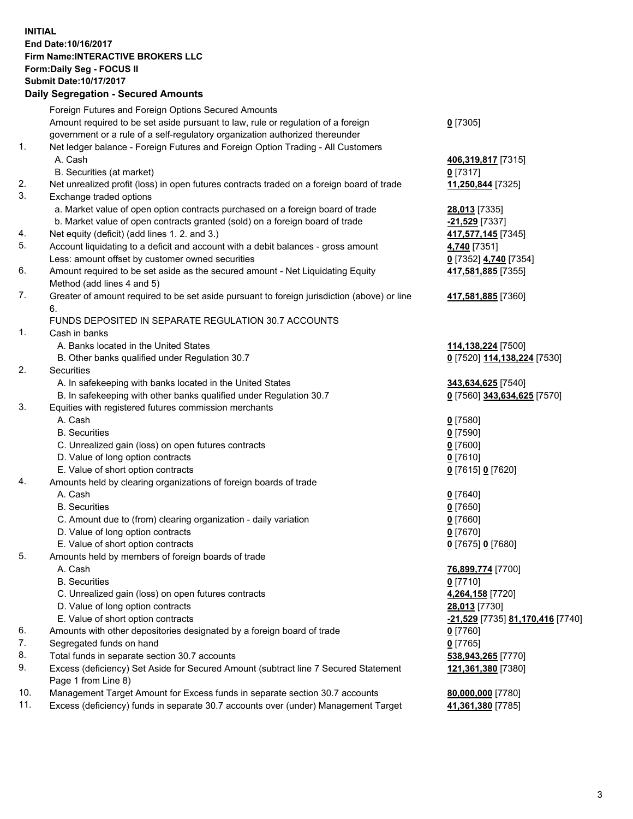## **INITIAL End Date:10/16/2017 Firm Name:INTERACTIVE BROKERS LLC Form:Daily Seg - FOCUS II Submit Date:10/17/2017 Daily Segregation - Secured Amounts**

|                | Daily Segregation - Secured Amounts                                                         |                                  |
|----------------|---------------------------------------------------------------------------------------------|----------------------------------|
|                | Foreign Futures and Foreign Options Secured Amounts                                         |                                  |
|                | Amount required to be set aside pursuant to law, rule or regulation of a foreign            | $0$ [7305]                       |
|                | government or a rule of a self-regulatory organization authorized thereunder                |                                  |
| 1.             | Net ledger balance - Foreign Futures and Foreign Option Trading - All Customers             |                                  |
|                | A. Cash                                                                                     | 406,319,817 [7315]               |
|                | B. Securities (at market)                                                                   | $0$ [7317]                       |
| 2.             | Net unrealized profit (loss) in open futures contracts traded on a foreign board of trade   | 11,250,844 [7325]                |
| 3.             | Exchange traded options                                                                     |                                  |
|                | a. Market value of open option contracts purchased on a foreign board of trade              | 28,013 [7335]                    |
|                | b. Market value of open contracts granted (sold) on a foreign board of trade                | -21,529 [7337]                   |
| 4.             | Net equity (deficit) (add lines 1.2. and 3.)                                                | 417,577,145 [7345]               |
| 5.             | Account liquidating to a deficit and account with a debit balances - gross amount           | 4,740 [7351]                     |
|                | Less: amount offset by customer owned securities                                            | 0 [7352] 4,740 [7354]            |
| 6.             | Amount required to be set aside as the secured amount - Net Liquidating Equity              | 417,581,885 [7355]               |
|                | Method (add lines 4 and 5)                                                                  |                                  |
| 7.             | Greater of amount required to be set aside pursuant to foreign jurisdiction (above) or line | 417,581,885 [7360]               |
|                | 6.                                                                                          |                                  |
|                | FUNDS DEPOSITED IN SEPARATE REGULATION 30.7 ACCOUNTS                                        |                                  |
| $\mathbf{1}$ . | Cash in banks                                                                               |                                  |
|                | A. Banks located in the United States                                                       | 114,138,224 [7500]               |
|                | B. Other banks qualified under Regulation 30.7                                              | 0 [7520] 114,138,224 [7530]      |
| 2.             | Securities                                                                                  |                                  |
|                | A. In safekeeping with banks located in the United States                                   | 343,634,625 [7540]               |
|                | B. In safekeeping with other banks qualified under Regulation 30.7                          | 0 [7560] 343,634,625 [7570]      |
| 3.             | Equities with registered futures commission merchants                                       |                                  |
|                | A. Cash                                                                                     | $0$ [7580]                       |
|                | <b>B.</b> Securities                                                                        | $0$ [7590]                       |
|                | C. Unrealized gain (loss) on open futures contracts                                         | $0$ [7600]                       |
|                | D. Value of long option contracts                                                           | $0$ [7610]                       |
|                | E. Value of short option contracts                                                          | 0 [7615] 0 [7620]                |
| 4.             | Amounts held by clearing organizations of foreign boards of trade                           |                                  |
|                | A. Cash                                                                                     | $0$ [7640]                       |
|                | <b>B.</b> Securities                                                                        | $0$ [7650]                       |
|                | C. Amount due to (from) clearing organization - daily variation                             | $0$ [7660]                       |
|                | D. Value of long option contracts                                                           | $0$ [7670]                       |
|                | E. Value of short option contracts                                                          | 0 [7675] 0 [7680]                |
| 5.             | Amounts held by members of foreign boards of trade                                          |                                  |
|                | A. Cash                                                                                     | 76,899,774 [7700]                |
|                | <b>B.</b> Securities                                                                        | $0$ [7710]                       |
|                | C. Unrealized gain (loss) on open futures contracts                                         | 4,264,158 [7720]                 |
|                | D. Value of long option contracts                                                           | 28,013 [7730]                    |
|                | E. Value of short option contracts                                                          | -21,529 [7735] 81,170,416 [7740] |
| 6.             | Amounts with other depositories designated by a foreign board of trade                      | 0 [7760]                         |
| 7.             | Segregated funds on hand                                                                    | $0$ [7765]                       |
| 8.             | Total funds in separate section 30.7 accounts                                               | 538,943,265 [7770]               |
| 9.             | Excess (deficiency) Set Aside for Secured Amount (subtract line 7 Secured Statement         | 121,361,380 [7380]               |
|                | Page 1 from Line 8)                                                                         |                                  |
| 10.            | Management Target Amount for Excess funds in separate section 30.7 accounts                 | 80,000,000 [7780]                |
| 11.            | Excess (deficiency) funds in separate 30.7 accounts over (under) Management Target          | 41,361,380 [7785]                |
|                |                                                                                             |                                  |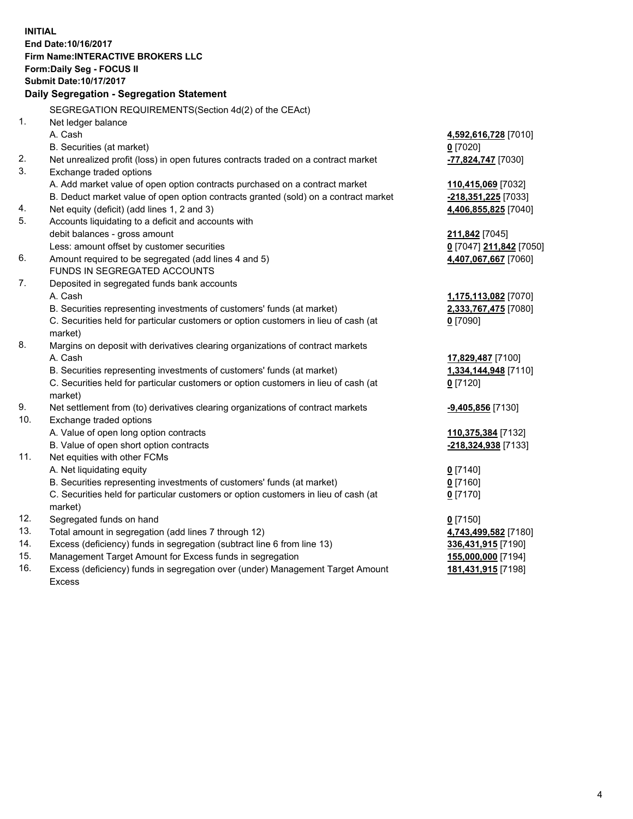**INITIAL End Date:10/16/2017 Firm Name:INTERACTIVE BROKERS LLC Form:Daily Seg - FOCUS II Submit Date:10/17/2017 Daily Segregation - Segregation Statement** SEGREGATION REQUIREMENTS(Section 4d(2) of the CEAct) 1. Net ledger balance A. Cash **4,592,616,728** [7010] B. Securities (at market) **0** [7020] 2. Net unrealized profit (loss) in open futures contracts traded on a contract market **-77,824,747** [7030] 3. Exchange traded options A. Add market value of open option contracts purchased on a contract market **110,415,069** [7032] B. Deduct market value of open option contracts granted (sold) on a contract market **-218,351,225** [7033] 4. Net equity (deficit) (add lines 1, 2 and 3) **4,406,855,825** [7040] 5. Accounts liquidating to a deficit and accounts with debit balances - gross amount **211,842** [7045] Less: amount offset by customer securities **0** [7047] **211,842** [7050] 6. Amount required to be segregated (add lines 4 and 5) **4,407,067,667** [7060] FUNDS IN SEGREGATED ACCOUNTS 7. Deposited in segregated funds bank accounts A. Cash **1,175,113,082** [7070] B. Securities representing investments of customers' funds (at market) **2,333,767,475** [7080] C. Securities held for particular customers or option customers in lieu of cash (at market) **0** [7090] 8. Margins on deposit with derivatives clearing organizations of contract markets A. Cash **17,829,487** [7100] B. Securities representing investments of customers' funds (at market) **1,334,144,948** [7110] C. Securities held for particular customers or option customers in lieu of cash (at market) **0** [7120] 9. Net settlement from (to) derivatives clearing organizations of contract markets **-9,405,856** [7130] 10. Exchange traded options A. Value of open long option contracts **110,375,384** [7132] B. Value of open short option contracts **-218,324,938** [7133] 11. Net equities with other FCMs A. Net liquidating equity **0** [7140] B. Securities representing investments of customers' funds (at market) **0** [7160] C. Securities held for particular customers or option customers in lieu of cash (at market) **0** [7170] 12. Segregated funds on hand **0** [7150] 13. Total amount in segregation (add lines 7 through 12) **4,743,499,582** [7180] 14. Excess (deficiency) funds in segregation (subtract line 6 from line 13) **336,431,915** [7190] 15. Management Target Amount for Excess funds in segregation **155,000,000** [7194] 16. Excess (deficiency) funds in segregation over (under) Management Target Amount Excess **181,431,915** [7198]